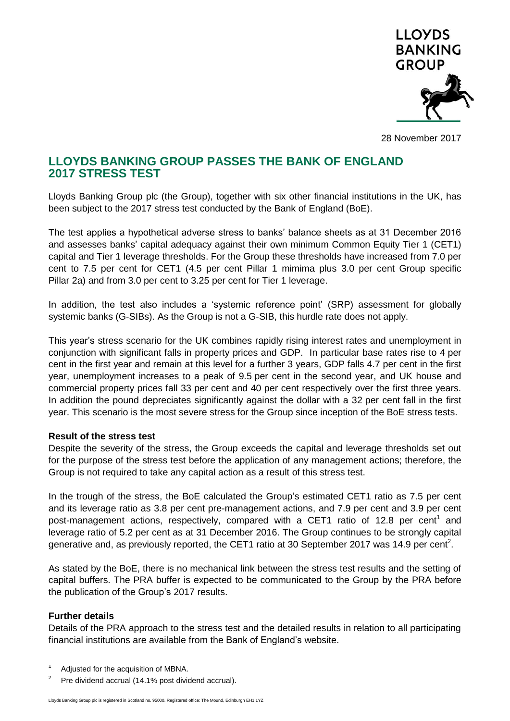

28 November 2017

## **LLOYDS BANKING GROUP PASSES THE BANK OF ENGLAND 2017 STRESS TEST**

Lloyds Banking Group plc (the Group), together with six other financial institutions in the UK, has been subject to the 2017 stress test conducted by the Bank of England (BoE).

The test applies a hypothetical adverse stress to banks' balance sheets as at 31 December 2016 and assesses banks' capital adequacy against their own minimum Common Equity Tier 1 (CET1) capital and Tier 1 leverage thresholds. For the Group these thresholds have increased from 7.0 per cent to 7.5 per cent for CET1 (4.5 per cent Pillar 1 mimima plus 3.0 per cent Group specific Pillar 2a) and from 3.0 per cent to 3.25 per cent for Tier 1 leverage.

In addition, the test also includes a 'systemic reference point' (SRP) assessment for globally systemic banks (G-SIBs). As the Group is not a G-SIB, this hurdle rate does not apply.

This year's stress scenario for the UK combines rapidly rising interest rates and unemployment in conjunction with significant falls in property prices and GDP. In particular base rates rise to 4 per cent in the first year and remain at this level for a further 3 years, GDP falls 4.7 per cent in the first year, unemployment increases to a peak of 9.5 per cent in the second year, and UK house and commercial property prices fall 33 per cent and 40 per cent respectively over the first three years. In addition the pound depreciates significantly against the dollar with a 32 per cent fall in the first year. This scenario is the most severe stress for the Group since inception of the BoE stress tests.

## **Result of the stress test**

Despite the severity of the stress, the Group exceeds the capital and leverage thresholds set out for the purpose of the stress test before the application of any management actions; therefore, the Group is not required to take any capital action as a result of this stress test.

In the trough of the stress, the BoE calculated the Group's estimated CET1 ratio as 7.5 per cent and its leverage ratio as 3.8 per cent pre-management actions, and 7.9 per cent and 3.9 per cent post-management actions, respectively, compared with a CET1 ratio of 12.8 per cent<sup>1</sup> and leverage ratio of 5.2 per cent as at 31 December 2016. The Group continues to be strongly capital generative and, as previously reported, the CET1 ratio at 30 September 2017 was 14.9 per cent<sup>2</sup>.

As stated by the BoE, there is no mechanical link between the stress test results and the setting of capital buffers. The PRA buffer is expected to be communicated to the Group by the PRA before the publication of the Group's 2017 results.

## **Further details**

Details of the PRA approach to the stress test and the detailed results in relation to all participating financial institutions are available from the Bank of England's website.

- 1 Adjusted for the acquisition of MBNA.
- 2 Pre dividend accrual (14.1% post dividend accrual).